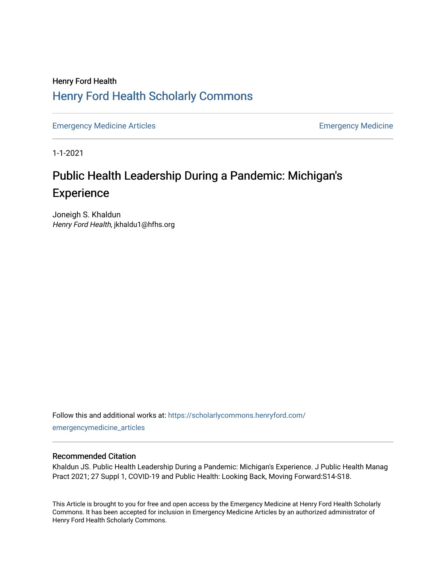### Henry Ford Health [Henry Ford Health Scholarly Commons](https://scholarlycommons.henryford.com/)

[Emergency Medicine Articles](https://scholarlycommons.henryford.com/emergencymedicine_articles) **Emergency Medicine** 

1-1-2021

## Public Health Leadership During a Pandemic: Michigan's Experience

Joneigh S. Khaldun Henry Ford Health, jkhaldu1@hfhs.org

Follow this and additional works at: [https://scholarlycommons.henryford.com/](https://scholarlycommons.henryford.com/emergencymedicine_articles?utm_source=scholarlycommons.henryford.com%2Femergencymedicine_articles%2F215&utm_medium=PDF&utm_campaign=PDFCoverPages) [emergencymedicine\\_articles](https://scholarlycommons.henryford.com/emergencymedicine_articles?utm_source=scholarlycommons.henryford.com%2Femergencymedicine_articles%2F215&utm_medium=PDF&utm_campaign=PDFCoverPages) 

#### Recommended Citation

Khaldun JS. Public Health Leadership During a Pandemic: Michigan's Experience. J Public Health Manag Pract 2021; 27 Suppl 1, COVID-19 and Public Health: Looking Back, Moving Forward:S14-S18.

This Article is brought to you for free and open access by the Emergency Medicine at Henry Ford Health Scholarly Commons. It has been accepted for inclusion in Emergency Medicine Articles by an authorized administrator of Henry Ford Health Scholarly Commons.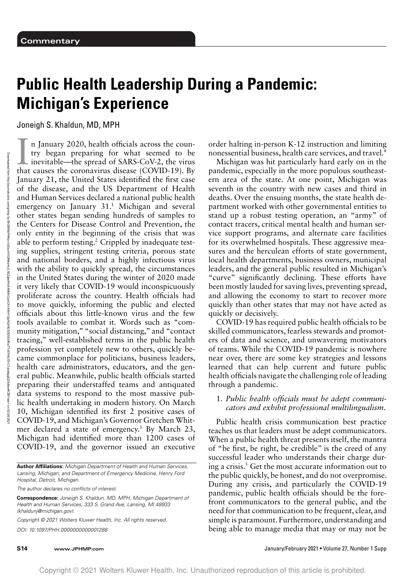# **Public Health Leadership During a Pandemic: Michigan's Experience**

Joneigh S. Khaldun, MD, MPH

In January 2020, health officials across the country began preparing for what seemed to be inevitable—the spread of SARS-CoV-2, the virus that causes the coronavirus disease (COVID-19). By n January 2020, health officials across the country began preparing for what seemed to be inevitable—the spread of SARS-CoV-2, the virus January 21, the United States identified the first case of the disease, and the US Department of Health and Human Services declared a national public health emergency on January 31.<sup>1</sup> Michigan and several other states began sending hundreds of samples to the Centers for Disease Control and Prevention, the only entity in the beginning of the crisis that was able to perform testing.<sup>2</sup> Crippled by inadequate testing supplies, stringent testing criteria, porous state and national borders, and a highly infectious virus with the ability to quickly spread, the circumstances in the United States during the winter of 2020 made it very likely that COVID-19 would inconspicuously proliferate across the country. Health officials had to move quickly, informing the public and elected officials about this little-known virus and the few tools available to combat it. Words such as "community mitigation," "social distancing," and "contact tracing," well-established terms in the public health profession yet completely new to others, quickly became commonplace for politicians, business leaders, health care administrators, educators, and the general public. Meanwhile, public health officials started preparing their understaffed teams and antiquated data systems to respond to the most massive public health undertaking in modern history. On March 10, Michigan identified its first 2 positive cases of COVID-19, and Michigan's Governor Gretchen Whitmer declared a state of emergency.3 By March 23, Michigan had identified more than 1200 cases of COVID-19, and the governor issued an executive

**Author Affiliations:** Michigan Department of Health and Human Services, Lansing, Michigan; and Department of Emergency Medicine, Henry Ford Hospital, Detroit, Michigan.

The author declares no conflicts of interest.

**Correspondence:** Joneigh S. Khaldun, MD, MPH, Michigan Department of Health and Human Services, 333 S. Grand Ave, Lansing, MI 48933 [\(khaldunj@michigan.gov\)](mailto:khaldunj@michigan.gov).

Copyright © 2021 Wolters Kluwer Health, Inc. All rights reserved. DOI: 10.1097/PHH.0000000000001288

order halting in-person K-12 instruction and limiting nonessential business, health care services, and travel.4

Michigan was hit particularly hard early on in the pandemic, especially in the more populous southeastern area of the state. At one point, Michigan was seventh in the country with new cases and third in deaths. Over the ensuing months, the state health department worked with other governmental entities to stand up a robust testing operation, an "army" of contact tracers, critical mental health and human service support programs, and alternate care facilities for its overwhelmed hospitals. These aggressive measures and the herculean efforts of state government, local health departments, business owners, municipal leaders, and the general public resulted in Michigan's "curve" significantly declining. These efforts have been mostly lauded for saving lives, preventing spread, and allowing the economy to start to recover more quickly than other states that may not have acted as quickly or decisively.

COVID-19 has required public health officials to be skilled communicators, fearless stewards and promoters of data and science, and unwavering motivators of teams. While the COVID-19 pandemic is nowhere near over, there are some key strategies and lessons learned that can help current and future public health officials navigate the challenging role of leading through a pandemic.

#### 1. *Public health officials must be adept communicators and exhibit professional multilingualism*.

Public health crisis communication best practice teaches us that leaders must be adept communicators. When a public health threat presents itself, the mantra of "be first, be right, be credible" is the creed of any successful leader who understands their charge during a crisis. $5$  Get the most accurate information out to the public quickly, be honest, and do not overpromise. During any crisis, and particularly the COVID-19 pandemic, public health officials should be the forefront communicators to the general public, and the need for that communication to be frequent, clear, and simple is paramount. Furthermore, understanding and being able to manage media that may or may not be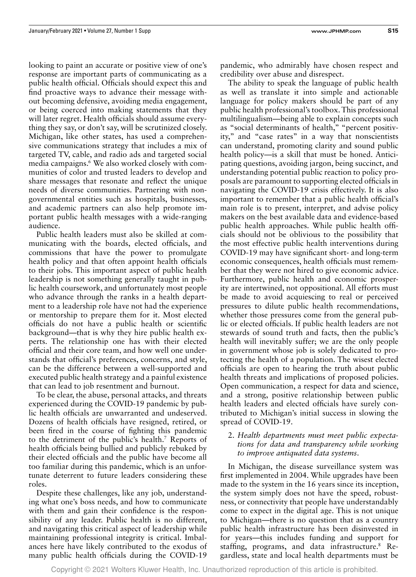looking to paint an accurate or positive view of one's response are important parts of communicating as a public health official. Officials should expect this and find proactive ways to advance their message without becoming defensive, avoiding media engagement, or being coerced into making statements that they will later regret. Health officials should assume everything they say, or don't say, will be scrutinized closely. Michigan, like other states, has used a comprehensive communications strategy that includes a mix of targeted TV, cable, and radio ads and targeted social media campaigns.<sup>6</sup> We also worked closely with communities of color and trusted leaders to develop and share messages that resonate and reflect the unique needs of diverse communities. Partnering with nongovernmental entities such as hospitals, businesses, and academic partners can also help promote important public health messages with a wide-ranging audience.

Public health leaders must also be skilled at communicating with the boards, elected officials, and commissions that have the power to promulgate health policy and that often appoint health officials to their jobs. This important aspect of public health leadership is not something generally taught in public health coursework, and unfortunately most people who advance through the ranks in a health department to a leadership role have not had the experience or mentorship to prepare them for it. Most elected officials do not have a public health or scientific background—that is why they hire public health experts. The relationship one has with their elected official and their core team, and how well one understands that official's preferences, concerns, and style, can be the difference between a well-supported and executed public health strategy and a painful existence that can lead to job resentment and burnout.

To be clear, the abuse, personal attacks, and threats experienced during the COVID-19 pandemic by public health officials are unwarranted and undeserved. Dozens of health officials have resigned, retired, or been fired in the course of fighting this pandemic to the detriment of the public's health.7 Reports of health officials being bullied and publicly rebuked by their elected officials and the public have become all too familiar during this pandemic, which is an unfortunate deterrent to future leaders considering these roles.

Despite these challenges, like any job, understanding what one's boss needs, and how to communicate with them and gain their confidence is the responsibility of any leader. Public health is no different, and navigating this critical aspect of leadership while maintaining professional integrity is critical. Imbalances here have likely contributed to the exodus of many public health officials during the COVID-19

pandemic, who admirably have chosen respect and credibility over abuse and disrespect.

The ability to speak the language of public health as well as translate it into simple and actionable language for policy makers should be part of any public health professional's toolbox. This professional multilingualism—being able to explain concepts such as "social determinants of health," "percent positivity," and "case rates" in a way that nonscientists can understand, promoting clarity and sound public health policy—is a skill that must be honed. Anticipating questions, avoiding jargon, being succinct, and understanding potential public reaction to policy proposals are paramount to supporting elected officials in navigating the COVID-19 crisis effectively. It is also important to remember that a public health official's main role is to present, interpret, and advise policy makers on the best available data and evidence-based public health approaches. While public health officials should not be oblivious to the possibility that the most effective public health interventions during COVID-19 may have significant short- and long-term economic consequences, health officials must remember that they were not hired to give economic advice. Furthermore, public health and economic prosperity are intertwined, not oppositional. All efforts must be made to avoid acquiescing to real or perceived pressures to dilute public health recommendations, whether those pressures come from the general public or elected officials. If public health leaders are not stewards of sound truth and facts, then the public's health will inevitably suffer; we are the only people in government whose job is solely dedicated to protecting the health of a population. The wisest elected officials are open to hearing the truth about public health threats and implications of proposed policies. Open communication, a respect for data and science, and a strong, positive relationship between public health leaders and elected officials have surely contributed to Michigan's initial success in slowing the spread of COVID-19.

2. *Health departments must meet public expectations for data and transparency while working to improve antiquated data systems*.

In Michigan, the disease surveillance system was first implemented in 2004. While upgrades have been made to the system in the 16 years since its inception, the system simply does not have the speed, robustness, or connectivity that people have understandably come to expect in the digital age. This is not unique to Michigan—there is no question that as a country public health infrastructure has been disinvested in for years—this includes funding and support for staffing, programs, and data infrastructure.<sup>8</sup> Regardless, state and local health departments must be

Copyright © 2021 Wolters Kluwer Health, Inc. Unauthorized reproduction of this article is prohibited.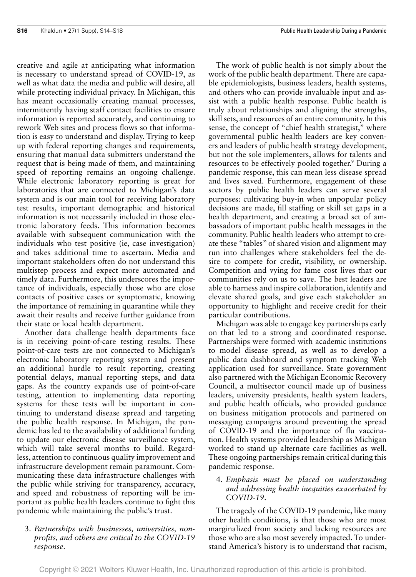creative and agile at anticipating what information is necessary to understand spread of COVID-19, as well as what data the media and public will desire, all while protecting individual privacy. In Michigan, this has meant occasionally creating manual processes, intermittently having staff contact facilities to ensure information is reported accurately, and continuing to rework Web sites and process flows so that information is easy to understand and display. Trying to keep up with federal reporting changes and requirements, ensuring that manual data submitters understand the request that is being made of them, and maintaining speed of reporting remains an ongoing challenge. While electronic laboratory reporting is great for laboratories that are connected to Michigan's data system and is our main tool for receiving laboratory test results, important demographic and historical information is not necessarily included in those electronic laboratory feeds. This information becomes available with subsequent communication with the individuals who test positive (ie, case investigation) and takes additional time to ascertain. Media and important stakeholders often do not understand this multistep process and expect more automated and timely data. Furthermore, this underscores the importance of individuals, especially those who are close contacts of positive cases or symptomatic, knowing the importance of remaining in quarantine while they await their results and receive further guidance from their state or local health department.

Another data challenge health departments face is in receiving point-of-care testing results. These point-of-care tests are not connected to Michigan's electronic laboratory reporting system and present an additional hurdle to result reporting, creating potential delays, manual reporting steps, and data gaps. As the country expands use of point-of-care testing, attention to implementing data reporting systems for these tests will be important in continuing to understand disease spread and targeting the public health response. In Michigan, the pandemic has led to the availability of additional funding to update our electronic disease surveillance system, which will take several months to build. Regardless, attention to continuous quality improvement and infrastructure development remain paramount. Communicating these data infrastructure challenges with the public while striving for transparency, accuracy, and speed and robustness of reporting will be important as public health leaders continue to fight this pandemic while maintaining the public's trust.

#### 3. *Partnerships with businesses, universities, nonprofits, and others are critical to the COVID-19 response*.

The work of public health is not simply about the work of the public health department. There are capable epidemiologists, business leaders, health systems, and others who can provide invaluable input and assist with a public health response. Public health is truly about relationships and aligning the strengths, skill sets, and resources of an entire community. In this sense, the concept of "chief health strategist," where governmental public health leaders are key conveners and leaders of public health strategy development, but not the sole implementers, allows for talents and resources to be effectively pooled together.<sup>9</sup> During a pandemic response, this can mean less disease spread and lives saved. Furthermore, engagement of these sectors by public health leaders can serve several purposes: cultivating buy-in when unpopular policy decisions are made, fill staffing or skill set gaps in a health department, and creating a broad set of ambassadors of important public health messages in the community. Public health leaders who attempt to create these "tables" of shared vision and alignment may run into challenges where stakeholders feel the desire to compete for credit, visibility, or ownership. Competition and vying for fame cost lives that our communities rely on us to save. The best leaders are able to harness and inspire collaboration, identify and elevate shared goals, and give each stakeholder an opportunity to highlight and receive credit for their particular contributions.

Michigan was able to engage key partnerships early on that led to a strong and coordinated response. Partnerships were formed with academic institutions to model disease spread, as well as to develop a public data dashboard and symptom tracking Web application used for surveillance. State government also partnered with the Michigan Economic Recovery Council, a multisector council made up of business leaders, university presidents, health system leaders, and public health officials, who provided guidance on business mitigation protocols and partnered on messaging campaigns around preventing the spread of COVID-19 and the importance of flu vaccination. Health systems provided leadership as Michigan worked to stand up alternate care facilities as well. These ongoing partnerships remain critical during this pandemic response.

#### 4. *Emphasis must be placed on understanding and addressing health inequities exacerbated by COVID-19*.

The tragedy of the COVID-19 pandemic, like many other health conditions, is that those who are most marginalized from society and lacking resources are those who are also most severely impacted. To understand America's history is to understand that racism,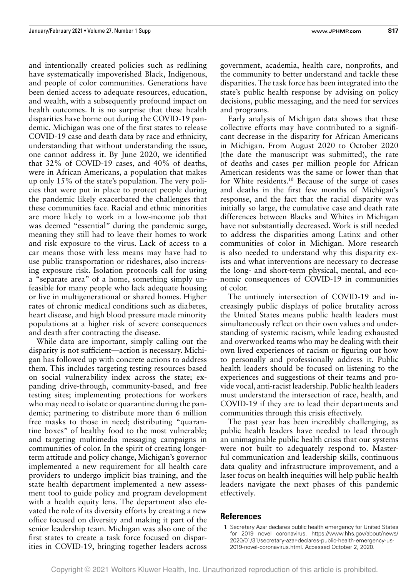and intentionally created policies such as redlining have systematically impoverished Black, Indigenous, and people of color communities. Generations have been denied access to adequate resources, education, and wealth, with a subsequently profound impact on health outcomes. It is no surprise that these health disparities have borne out during the COVID-19 pandemic. Michigan was one of the first states to release COVID-19 case and death data by race and ethnicity, understanding that without understanding the issue, one cannot address it. By June 2020, we identified that 32% of COVID-19 cases, and 40% of deaths, were in African Americans, a population that makes up only 15% of the state's population. The very policies that were put in place to protect people during the pandemic likely exacerbated the challenges that these communities face. Racial and ethnic minorities are more likely to work in a low-income job that was deemed "essential" during the pandemic surge, meaning they still had to leave their homes to work and risk exposure to the virus. Lack of access to a car means those with less means may have had to use public transportation or rideshares, also increasing exposure risk. Isolation protocols call for using a "separate area" of a home, something simply unfeasible for many people who lack adequate housing or live in multigenerational or shared homes. Higher rates of chronic medical conditions such as diabetes, heart disease, and high blood pressure made minority populations at a higher risk of severe consequences and death after contracting the disease.

While data are important, simply calling out the disparity is not sufficient—action is necessary. Michigan has followed up with concrete actions to address them. This includes targeting testing resources based on social vulnerability index across the state; expanding drive-through, community-based, and free testing sites; implementing protections for workers who may need to isolate or quarantine during the pandemic; partnering to distribute more than 6 million free masks to those in need; distributing "quarantine boxes" of healthy food to the most vulnerable; and targeting multimedia messaging campaigns in communities of color. In the spirit of creating longerterm attitude and policy change, Michigan's governor implemented a new requirement for all health care providers to undergo implicit bias training, and the state health department implemented a new assessment tool to guide policy and program development with a health equity lens. The department also elevated the role of its diversity efforts by creating a new office focused on diversity and making it part of the senior leadership team. Michigan was also one of the first states to create a task force focused on disparities in COVID-19, bringing together leaders across

government, academia, health care, nonprofits, and the community to better understand and tackle these disparities. The task force has been integrated into the state's public health response by advising on policy decisions, public messaging, and the need for services and programs.

Early analysis of Michigan data shows that these collective efforts may have contributed to a significant decrease in the disparity for African Americans in Michigan. From August 2020 to October 2020 (the date the manuscript was submitted), the rate of deaths and cases per million people for African American residents was the same or lower than that for White residents.10 Because of the surge of cases and deaths in the first few months of Michigan's response, and the fact that the racial disparity was initially so large, the cumulative case and death rate differences between Blacks and Whites in Michigan have not substantially decreased. Work is still needed to address the disparities among Latinx and other communities of color in Michigan. More research is also needed to understand why this disparity exists and what interventions are necessary to decrease the long- and short-term physical, mental, and economic consequences of COVID-19 in communities of color.

The untimely intersection of COVID-19 and increasingly public displays of police brutality across the United States means public health leaders must simultaneously reflect on their own values and understanding of systemic racism, while leading exhausted and overworked teams who may be dealing with their own lived experiences of racism or figuring out how to personally and professionally address it. Public health leaders should be focused on listening to the experiences and suggestions of their teams and provide vocal, anti-racist leadership. Public health leaders must understand the intersection of race, health, and COVID-19 if they are to lead their departments and communities through this crisis effectively.

The past year has been incredibly challenging, as public health leaders have needed to lead through an unimaginable public health crisis that our systems were not built to adequately respond to. Masterful communication and leadership skills, continuous data quality and infrastructure improvement, and a laser focus on health inequities will help public health leaders navigate the next phases of this pandemic effectively.

#### **References**

1. Secretary Azar declares public health emergency for United States [for 2019 novel coronavirus. https://www.hhs.gov/about/news/](https://www.hhs.gov/about/news/2020/01/31/secretary-azar-declares-public-health-emergency-us-2019-novel-coronavirus.html) 2020/01/31/secretary-azar-declares-public-health-emergency-us-2019-novel-coronavirus.html. Accessed October 2, 2020.